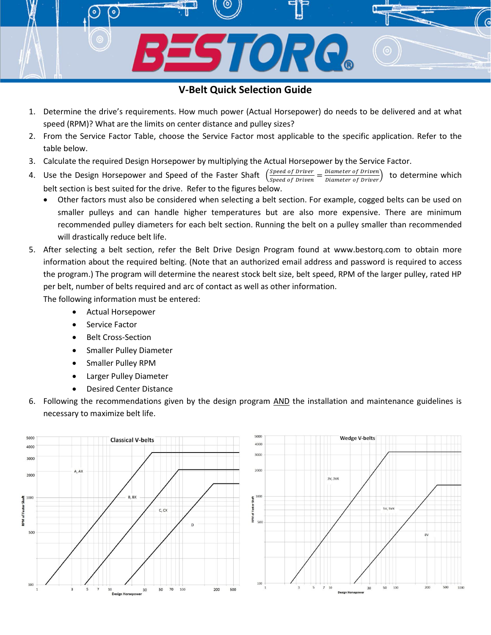## **V-Belt Quick Selection Guide**

STORC.

- 1. Determine the drive's requirements. How much power (Actual Horsepower) do needs to be delivered and at what speed (RPM)? What are the limits on center distance and pulley sizes?
- 2. From the Service Factor Table, choose the Service Factor most applicable to the specific application. Refer to the table below.
- 3. Calculate the required Design Horsepower by multiplying the Actual Horsepower by the Service Factor.
- 4. Use the Design Horsepower and Speed of the Faster Shaft Speed of Driver Speed of Driver  $=\frac{Diameter\ of\ Driven}{Diameter\ of\ Driver}$  to determine which belt section is best suited for the drive. Refer to the figures below.
	- Other factors must also be considered when selecting a belt section. For example, cogged belts can be used on smaller pulleys and can handle higher temperatures but are also more expensive. There are minimum recommended pulley diameters for each belt section. Running the belt on a pulley smaller than recommended will drastically reduce belt life.
- 5. After selecting a belt section, refer the Belt Drive Design Program found at www.bestorq.com to obtain more information about the required belting. (Note that an authorized email address and password is required to access the program.) The program will determine the nearest stock belt size, belt speed, RPM of the larger pulley, rated HP per belt, number of belts required and arc of contact as well as other information.

The following information must be entered:

- Actual Horsepower
- Service Factor
- Belt Cross-Section
- **•** Smaller Pulley Diameter
- Smaller Pulley RPM
- Larger Pulley Diameter
- Desired Center Distance
- 6. Following the recommendations given by the design program AND the installation and maintenance guidelines is necessary to maximize belt life.